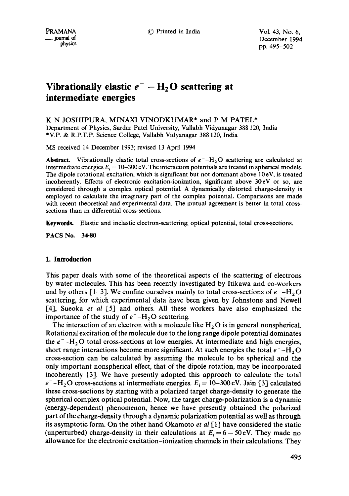PRAMANA © Printed in India Vol. 43, No. 6, \_\_journal of December 1994 **physics** pp. 495-502

# **Vibrationally elastic**  $e^- - H_2 O$  **scattering at intermediate energies**

# K N JOSHIPURA, MINAXI VINODKUMAR\* and P M PATEL\*

Department of Physics, Sardar Patel University, Vallabh Vidyanagar 388 120, India \*V.P. & R.P.T.P. Science College, Vallabh Vidyanagar 388 120, India

MS received 14 December 1993; revised 13 April 1994

Abstract. Vibrationally elastic total cross-sections of  $e^-$ -H<sub>2</sub>O scattering are calculated at intermediate energies  $E_i = 10-300 \text{ eV}$ . The interaction potentials are treated in spherical models. The dipole rotational excitation, which is significant but not dominant above 10eV, is treated incoherently. Effects of electronic excitation-ionization, significant above 30eV or so, are considered through a complex optical potential. A dynamically distorted charge-density is employed to calculate the imaginary part of the complex potential. Comparisons are made with recent theoretical and experimental data. The mutual agreement is better in total crosssections than in differential cross-sections.

Keywords, Elastic and inelastic electron-scattering; optical potential, total cross-sections.

**PACS No. 34.80** 

# **1. Introduction**

This paper deals with some of the theoretical aspects of the scattering of electrons by water molecules. This has been recently investigated by Itikawa and co-workers and by others [1-3]. We confine ourselves mainly to total cross-sections of  $e^-$ -H, O scattering, for which experimental data have been given by Johnstone and Newell [4], Sueoka *et al* [5] and others. All these workers have also emphasized the importance of the study of  $e^-$ -H<sub>2</sub>O scattering.

The interaction of an electron with a molecule like  $H_2O$  is in general nonspherical. Rotational excitation of the molecule due to the long range dipole potential dominates the  $e^-$ -H<sub>2</sub>O total cross-sections at low energies. At intermediate and high energies, short range interactions become more significant. At such energies the total  $e^-$ -H<sub>2</sub>O cross-section can be calculated by assuming the molecule to be spherical and the only important nonspherical effect, that of the dipole rotation, may be incorporated incoherently [3]. We have presently adopted this approach to calculate the total  $e^-$ -H<sub>2</sub>O cross-sections at intermediate energies.  $E_i = 10-300$  eV. Jain [3] calculated these cross-sections by starting with a polarized target charge-density to generate the spherical complex optical potential. Now, the target charge-polarization is a dynamic (energy-dependent) phenomenon, hence we have presently obtained the polarized part of the charge-density through a dynamic polarization potential as well as through its asymptotic form. On the other hand Okamoto *et al* [1] have considered the static (unperturbed) charge-density in their calculations at  $E_i = 6 - 50 \text{ eV}$ . They made no allowance for the electronic excitation-ionization channels in their calculations. They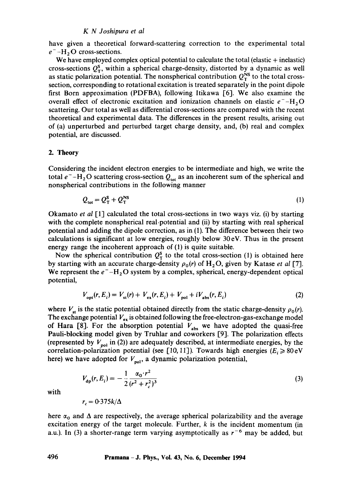#### *K N Joshipura et al*

have given a theoretical forward-scattering correction to the experimental total  $e^-$ -H<sub>2</sub>O cross-sections.

We have employed complex optical potential to calculate the total (elastic + inelastic) cross-sections  $Q_{\rm r}^{\rm s}$ , within a spherical charge-density, distorted by a dynamic as well as static polarization potential. The nonspherical contribution  $Q_{\rm T}^{\rm NS}$  to the total crosssection, corresponding to rotational excitation is treated separately in the point dipole first Born approximation (PDFBA), following Itikawa [6]. We also examine the overall effect of electronic excitation and ionization channels on elastic  $e^-$ -H<sub>2</sub>O scattering. Our total as well as differential cross-sections are compared with the recent theoretical and experimental data. The differences in the present results, arising out of (a) unperturbed and perturbed target charge density, and, (b) real and complex potential, are discussed.

#### 2. **Theory**

Considering the incident electron energies to be intermediate and high, we write the total  $e^-$ -H<sub>2</sub>O scattering cross-section  $Q_{\text{tot}}$  as an incoherent sum of the spherical and nonspherical contributions in the following manner

$$
Q_{\text{tot}} = Q_{\text{T}}^{\text{S}} + Q_{\text{T}}^{\text{NS}} \tag{1}
$$

Okamato *et al* [1] calculated the total cross-sections in two ways viz. (i) by starting with the complete nonspherical real potential and (ii) by starting with real spherical potential and adding the dipole correction, as in (1). The difference between their two calculations is significant at low energies, roughly below 30 eV. Thus in the present energy range the incoherent approach of (1) is quite suitable.

Now the spherical contribution  $Q_T^s$  to the total cross-section (1) is obtained here by starting with an accurate charge-density  $\rho_0(r)$  of  $H_2O$ , given by Katase *et al* [7]. We represent the  $e^-$ -H<sub>2</sub>O system by a complex, spherical, energy-dependent optical potential,

$$
V_{\text{opt}}(r, E_i) = V_{\text{st}}(r) + V_{\text{ex}}(r, E_i) + V_{\text{pol}} + iV_{\text{abs}}(r, E_i)
$$
 (2)

where  $V_{st}$  is the static potential obtained directly from the static charge-density  $\rho_0(r)$ . The exchange potential  $V_{ex}$  is obtained following the free-electron-gas-exchange model of Hara [8]. For the absorption potential  $V_{\text{abs}}$  we have adopted the quasi-free Pauli-blocking model given by Truhlar and coworkers [9]. The polarization effects (represented by  $V_{pol}$  in (2)) are adequately described, at intermediate energies, by the correlation-polarization potential (see [10, 11]). Towards high energies ( $E_i \ge 80 \text{ eV}$ here) we have adopted for  $V_{pol}$ , a dynamic polarization potential,

$$
V_{\rm dp}(r, E_i) = -\frac{1}{2} \frac{\alpha_0 \cdot r^2}{(r^2 + r_c^2)^3} \tag{3}
$$

with

$$
r_c = 0.375k/\Delta
$$

here  $\alpha_0$  and  $\Delta$  are respectively, the average spherical polarizability and the average excitation energy of the target molecule. Further,  $k$  is the incident momentum (in a.u.). In (3) a shorter-range term varying asymptotically as  $r^{-6}$  may be added, but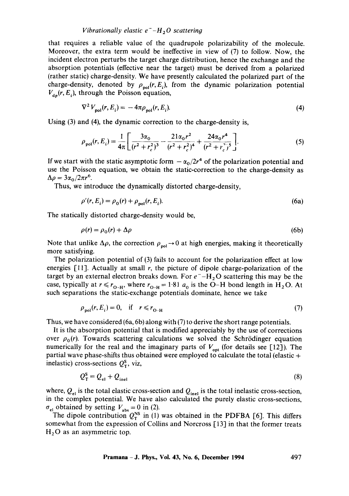# *Vibrationally elastic*  $e^-$ *-H<sub>2</sub>O scattering*

that requires a reliable value of the quadrupole polarizability of the molecule. Moreover, the extra term would be ineffective in view of (7) to follow. Now, the incident electron perturbs the target charge distribution, hence the exchange and the absorption potentials (effective near the target) must be derived from a polarized (rather static) charge-density. We have presently calculated the polarized part of the charge-density, denoted by  $\rho_{\text{pol}}(r, E_i)$ , from the dynamic polarization potential  $V_{dp}(r, E_i)$ , through the Poisson equation,

$$
\nabla^2 V_{\text{pol}}(r, E_i) = -4\pi \rho_{\text{pol}}(r, E_i). \tag{4}
$$

Using (3) and (4), the dynamic correction to the charge-density is,

$$
\rho_{pol}(r, E_i) = \frac{1}{4\pi} \left[ \frac{3\alpha_0}{(r^2 + r_c^2)^3} - \frac{21\alpha_0 r^2}{(r^2 + r_c^2)^4} + \frac{24\alpha_0 r^4}{(r^2 + r_c^2)^5} \right].
$$
\n(5)

If we start with the static asymptotic form  $-\alpha_0/2r^4$  of the polarization potential and use the Poisson equation, we obtain the static-correction to the charge-density as  $\Delta \rho = 3\alpha_0/2\pi r^6.$ 

Thus, we introduce the dynamically distorted charge-density,

$$
\rho'(r, E_i) = \rho_0(r) + \rho_{pol}(r, E_i).
$$
\n(6a)

The statically distorted charge-density would be,

$$
\rho(r) = \rho_0(r) + \Delta \rho \tag{6b}
$$

Note that unlike  $\Delta \rho$ , the correction  $\rho_{pol}\rightarrow 0$  at high energies, making it theoretically more satisfying.

The polarization potential of (3) fails to account for the polarization effect at low energies [11]. Actually at small r, the picture of dipole charge-polarization of the target by an external electron breaks down. For  $e^-$ -H<sub>2</sub>O scattering this may be the case, typically at  $r \le r_{O-H}$ , where  $r_{O-H} = 1.81$   $a_0$  is the O-H bond length in H<sub>2</sub>O. At such separations the static-exchange potentials dominate, hence we take

$$
\rho_{\text{pol}}(r, E_i) = 0, \quad \text{if} \quad r \le r_{0-H} \tag{7}
$$

Thus, we have considered (6a, 6b) along with (7) to derive the short range potentials.

It is the absorption potential that is modified appreciably by the use of corrections over  $\rho_0(r)$ . Towards scattering calculations we solved the Schrödinger equation numerically for the real and the imaginary parts of  $V_{\text{opt}}$  (for details see [12]). The partial wave phase-shifts thus obtained were employed to calculate the total (elastic  $+$ inelastic) cross-sections  $Q_{\tau}^{s}$ , viz,

$$
Q_{\rm T}^{\rm s} = Q_{\rm el} + Q_{\rm inel} \tag{8}
$$

where,  $Q_{el}$  is the total elastic cross-section and  $Q_{inel}$  is the total inelastic cross-section, in the complex potential. We have also calculated the purely elastic cross-sections,  $\sigma_{el}$  obtained by setting  $V_{\text{abs}} = 0$  in (2).

The dipole contribution  $Q_T^{NS}$  in (1) was obtained in the PDFBA [6]. This differs somewhat from the expression of Collins and Norcross [13] in that the former treats  $H<sub>2</sub>O$  as an asymmetric top.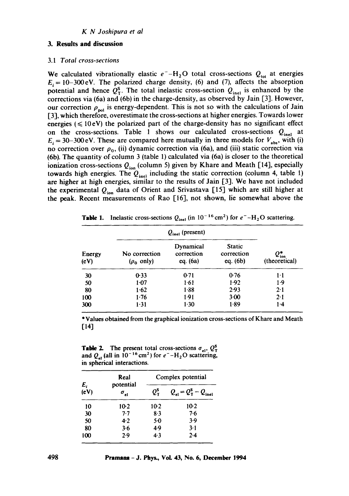# **3. Results and discussion**

#### 3.1 *Total cross-sections*

We calculated vibrationally elastic  $e^-$ -H<sub>2</sub>O total cross-sections  $Q_{tot}$  at energies  $E_i = 10-300$  eV. The polarized charge density, (6) and (7), affects the absorption potential and hence  $Q_{\text{T}}^{\text{s}}$ . The total inelastic cross-section  $Q_{\text{inel}}$  is enhanced by the corrections via (6a) and (6b) in the charge-density, as observed by Jain [3]. However, our correction  $\rho_{pol}$  is energy-dependent. This is not so with the calculations of Jain [3], which therefore, overestimate the cross-sections at higher energies. Towards lower energies ( $\leq 10$ eV) the polarized part of the charge-density has no significant effect on the cross-sections. Table 1 shows our calculated cross-sections  $Q_{\text{inel}}$  at  $E_i = 30-300 \text{ eV}$ . These are compared here mutually in three models for  $V_{\text{abs}}$ , with (i) no correction over  $\rho_0$ , (ii) dynamic correction via (6a), and (iii) static correction via (6b). The quantity of column 3 (table 1) calculated via (6a) is closer to the theoretical ionization cross-sections  $Q_{\text{ion}}$  (column 5) given by Khare and Meath [14], especially towards high energies. The  $Q_{\text{inel}}$  including the static correction (column 4, table 1) are higher at high energies, similar to the results of Jain [3]. We have not included the experimental *Qion* data of Orient and Srivastava [15] which are still higher at the peak. Recent measurements of Rao [16], not shown, lie somewhat above the

| Energy<br>(eV) | $Q_{\text{inel}}$ (present)      |                                       |                                    |                                     |
|----------------|----------------------------------|---------------------------------------|------------------------------------|-------------------------------------|
|                | No correction<br>$(\rho_0$ only) | Dynamical<br>correction<br>eq. $(6a)$ | Static<br>correction<br>eq. $(6b)$ | $Q_{\text{ion}}^*$<br>(theoretical) |
| 30             | $0-33$                           | 0.71                                  | 0.76                               | 1·1                                 |
| 50             | $1-07$                           | 1.61                                  | 1.92                               | $1-9$                               |
| 80             | 1.62                             | 1.38                                  | 2.93                               | 2.1                                 |
| 100            | 1.76                             | 1.91                                  | $3-00$                             | $2 - 1$                             |
| 300            | $1-31$                           | $1-30$                                | 1.89                               | $1 - 4$                             |

**Table 1.** Inelastic cross-sections  $Q_{\text{inel}}$  (in  $10^{-16} \text{ cm}^2$ ) for  $e^-$ -H<sub>2</sub>O scattering.

\*Values obtained from the graphical ionization cross-sections of Khare and Meath [14]

**Table 2.** The present total cross-sections  $\sigma_{el}$ ,  $Q_T^s$ and  $Q_{1}$  (all in 10<sup>-16</sup> cm<sup>2</sup>) for  $e^-$ -H<sub>2</sub>O scattering, in spherical interactions.

|               | Real<br>potential<br>$\sigma_{el}$ | Complex potential   |                                                      |  |
|---------------|------------------------------------|---------------------|------------------------------------------------------|--|
| $E_i$<br>(eV) |                                    | $Q_{\rm T}^{\rm S}$ | $Q_{el} = Q_{\text{T}}^{\text{s}} - Q_{\text{inel}}$ |  |
| 10            | 10-2                               | $10-2$              | $10-2$                                               |  |
| 30            | $7 - 7$                            | 8.3                 | 7.6                                                  |  |
| 50            | $4-2$                              | $5-0$               | 3.9                                                  |  |
| 80            | 3.6                                | 4.9                 | $3-1$                                                |  |
| 100           | 2.9                                | 4.3                 | $2 - 4$                                              |  |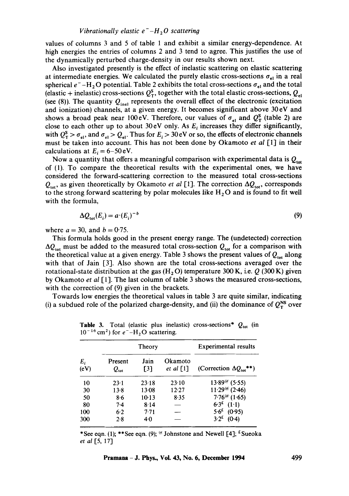values of columns 3 and 5 of table 1 and exhibit a similar energy-dependence. At high energies the entries of columns 2 and 3 tend to agree. This justifies the use of the dynamically perturbed charge-density in our results shown next.

Also investigated presently is the effect of inelastic scattering on elastic scattering at intermediate energies. We calculated the purely elastic cross-sections  $\sigma_{el}$  in a real spherical  $e^-$ -H<sub>2</sub>O potential. Table 2 exhibits the total cross-sections  $\sigma_{el}$  and the total (elastic + inelastic) cross-sections  $Q_{\rm T}^{\rm S}$ , together with the total elastic cross-sections,  $Q_{\rm el}$ (see (8)). The quantity  $Q_{\text{inel}}$  represents the overall effect of the electronic (excitation and ionization) channels, at a given energy. It becomes significant above 30 eV and shows a broad peak near 100 eV. Therefore, our values of  $\sigma_{el}$  and  $Q_{\rm T}^{\rm S}$  (table 2) are close to each other up to about 30 eV only. As  $E_i$  increases they differ significantly, with  $Q_T^s > \sigma_{el}$ , and  $\sigma_{el} > Q_{el}$ . Thus for  $E_i > 30 \text{ eV}$  or so, the effects of electronic channels must be taken into account. This has not been done by Okamoto *et al* [1] in their calculations at  $E_i = 6-50$  eV.

Now a quantity that offers a meaningful comparison with experimental data is  $Q_{\text{tot}}$ of (1). To compare the theoretical results with the experimental ones, we have considered the forward-scattering correction to the measured total cross-sections  $Q_{\text{tot}}$ , as given theoretically by Okamoto *et al* [1]. The correction  $\Delta Q_{\text{tot}}$ , corresponds to the strong forward scattering by polar molecules like  $H_2O$  and is found to fit well with the formula,

$$
\Delta Q_{\text{tot}}(E_i) = a \cdot (E_i)^{-b} \tag{9}
$$

where  $a = 30$ , and  $b = 0.75$ .

This formula holds good in the present energy range. The (undetected) correction  $\Delta Q_{\text{tot}}$  must be added to the measured total cross-section  $Q_{\text{tot}}$  for a comparison with the theoretical value at a given energy. Table 3 shows the present values of  $Q_{tot}$  along with that of Jain [3]. Also shown are the total cross-sections averaged over the rotational-state distribution at the gas  $(H, O)$  temperature 300 K, i.e. Q (300 K) given by Okamoto *et al* [1]. The last column of table 3 shows the measured cross-sections, with the correction of (9) given in the brackets.

Towards low energies the theoretical values in table 3 are quite similar, indicating (i) a subdued role of the polarized charge-density, and (ii) the dominance of  $Q_T^{NS}$  over

| E,<br>(eV) | Theory                      |                           |                        | <b>Experimental results</b>          |
|------------|-----------------------------|---------------------------|------------------------|--------------------------------------|
|            | Present<br>$Q_{\text{tot}}$ | Jain<br>$\lceil 3 \rceil$ | Okamoto<br>et al $[1]$ | (Correction $\Delta Q_{\rm tot}$ **) |
| 10         | $23-1$                      | 23.18                     | 23.10                  | $13.89^{\textcircled{a}}(5.55)$      |
| 30         | $13-8$                      | 13.08                     | 12.27                  | $11.29^{(a)}$ (2.46)                 |
| 50         | 8.6                         | $10-13$                   | 8.35                   | $7.76^{(a)}(1.65)$                   |
| 80         | $7-4$                       | 8.14                      |                        | $6.3^{\epsilon}$ (1.1)               |
| 100        | 6.2                         | 7.71                      |                        | $5.6^{E}$ (0.95)                     |
| 300        | 2.8                         | 40                        |                        | $3.2^{\text{f}}$<br>(0.4)            |

**Table 3.** Total (elastic plus inelastic) cross-sections\*  $Q_{\text{tot}}$  (in  $10^{-16}$  cm<sup>2</sup>) for  $e^-$ -H<sub>2</sub>O scattering.

\*See eqn. (1); \*\*See eqn. (9);  $\ll$  Johnstone and Newell [4];  $\ll$  Sueoka *et al* [5, 17]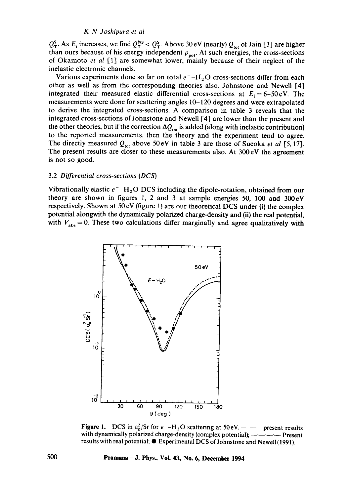#### *K N Joshipura et al*

 $Q_T^s$ . As  $E_i$  increases, we find  $Q_T^{ss} < Q_T^s$ . Above 30 eV (nearly)  $Q_{tot}$  of Jain [3] are higher than ours because of his energy independent  $\rho_{\text{rel}}$ . At such energies, the cross-sections of Okamoto *et al* I-1] are somewhat lower, mainly because of their neglect of the inelastic electronic channels.

Various experiments done so far on total  $e^-$ -H<sub>2</sub>O cross-sections differ from each other as well as from the corresponding theories also. Johnstone and Newell [4] integrated their measured elastic differential cross-sections at  $E_i = 6-50eV$ . The measurements were done for scattering angles 10-120 degrees and were extrapolated to derive the integrated cross-sections. A comparison in table 3 reveals that the integrated cross-sections of Johnstone and Newell [4] are lower than the present and the other theories, but if the correction  $\Delta Q_{\text{tot}}$  is added (along with inelastic contribution) to the reported measurements, then the theory and the experiment tend to agree. The directly measured  $Q_{\text{tot}}$  above 50 eV in table 3 are those of Sueoka *et al* [5, 17]. The present results are closer to these measurements also. At 300 eV the agreement is not so good.

#### 3.2 *Differential cross-sections (DCS)*

Vibrationally elastic  $e^-$ -H<sub>2</sub>O DCS including the dipole-rotation, obtained from our theory are shown in figures 1, 2 and 3 at sample energies 50, 100 and 300cV respectively. Shown at 50 eV (figure l) are our theoretical DCS under (i) the complex potential alongwith the dynamically polarized charge-density and (ii) the real potential, with  $V_{\text{abs}} = 0$ . These two calculations differ marginally and agree qualitatively with



**Figure 1.** DCS in  $a_0^2$ /Sr for  $e^-$ -H<sub>2</sub>O scattering at 50 eV. ——— present results with dynamically polarized charge-density (complex potential);  $-\cdot$  - - - - Present results with real potential;  $\bullet$  Experimental DCS of Johnstone and Newell (1991).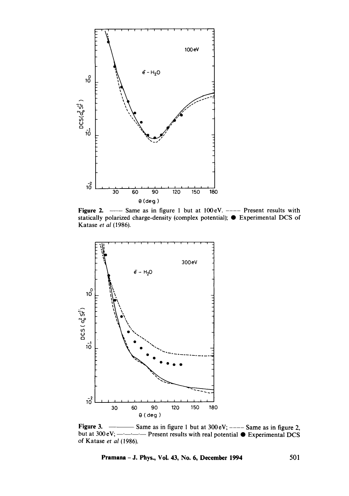

Figure 2. - Same as in figure 1 but at 100 eV. ---- Present results with **statically polarized charge-density (complex potential); • Experimental DCS of Katase** *et al* **(1986).** 



**Figure 3.**  $\longrightarrow$  Same as in figure 1 but at 300 eV;  $\longrightarrow$  Same as in figure 2, but at 300 eV;  $\frac{1}{1}$  **Present results with real potential**  $\bullet$  **Experimental DCS of Katase** *et al* **(1986).**